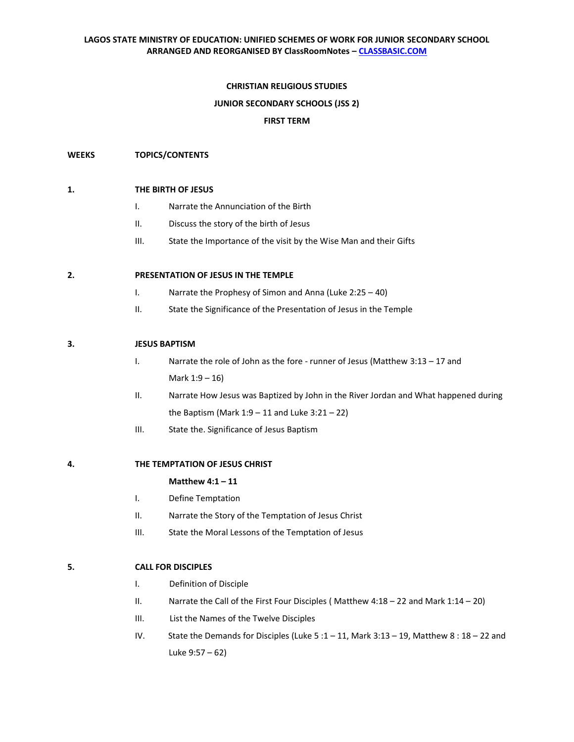## **CHRISTIAN RELIGIOUS STUDIES**

#### **JUNIOR SECONDARY SCHOOLS (JSS 2)**

### **FIRST TERM**

### **WEEKS TOPICS/CONTENTS**

#### **1. THE BIRTH OF JESUS**

- I. Narrate the Annunciation of the Birth
- II. Discuss the story of the birth of Jesus
- III. State the Importance of the visit by the Wise Man and their Gifts

### **2. PRESENTATION OF JESUS IN THE TEMPLE**

- I. Narrate the Prophesy of Simon and Anna (Luke 2:25 40)
- II. State the Significance of the Presentation of Jesus in the Temple

#### **3. JESUS BAPTISM**

- I. Narrate the role of John as the fore runner of Jesus (Matthew 3:13 17 and Mark 1:9 – 16)
- II. Narrate How Jesus was Baptized by John in the River Jordan and What happened during the Baptism (Mark  $1:9 - 11$  and Luke  $3:21 - 22$ )
- III. State the. Significance of Jesus Baptism

# **4. THE TEMPTATION OF JESUS CHRIST**

#### **Matthew 4:1 – 11**

- I. Define Temptation
- II. Narrate the Story of the Temptation of Jesus Christ
- III. State the Moral Lessons of the Temptation of Jesus

## **5. CALL FOR DISCIPLES**

- I. Definition of Disciple
- II. Narrate the Call of the First Four Disciples ( Matthew 4:18 22 and Mark 1:14 20)
- III. List the Names of the Twelve Disciples
- IV. State the Demands for Disciples (Luke 5 :1 11, Mark 3:13 19, Matthew 8 : 18 22 and Luke 9:57 – 62)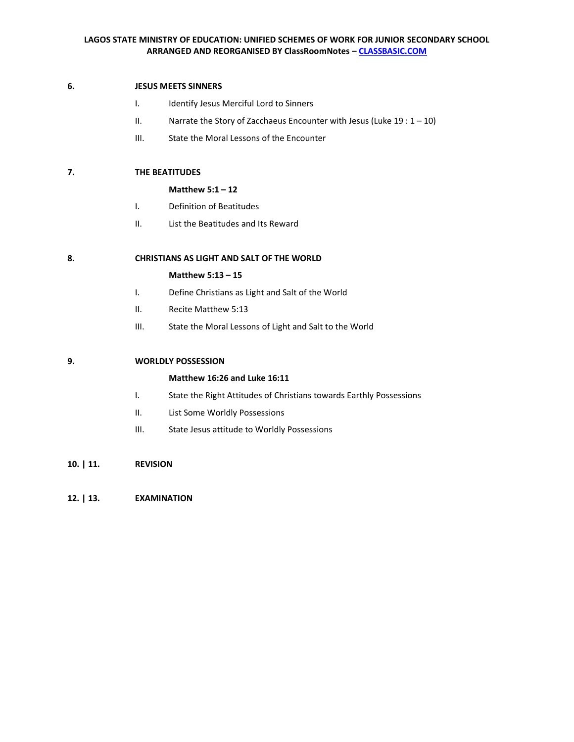### **6. JESUS MEETS SINNERS**

- I. Identify Jesus Merciful Lord to Sinners
- II. Narrate the Story of Zacchaeus Encounter with Jesus (Luke  $19:1-10$ )
- III. State the Moral Lessons of the Encounter

# **7. THE BEATITUDES**

#### **Matthew 5:1 – 12**

- I. Definition of Beatitudes
- II. List the Beatitudes and Its Reward

# **8. CHRISTIANS AS LIGHT AND SALT OF THE WORLD**

#### **Matthew 5:13 – 15**

- I. Define Christians as Light and Salt of the World
- II. Recite Matthew 5:13
- III. State the Moral Lessons of Light and Salt to the World

## **9. WORLDLY POSSESSION**

## **Matthew 16:26 and Luke 16:11**

- I. State the Right Attitudes of Christians towards Earthly Possessions
- II. List Some Worldly Possessions
- III. State Jesus attitude to Worldly Possessions
- **10. | 11. REVISION**
- **12. | 13. EXAMINATION**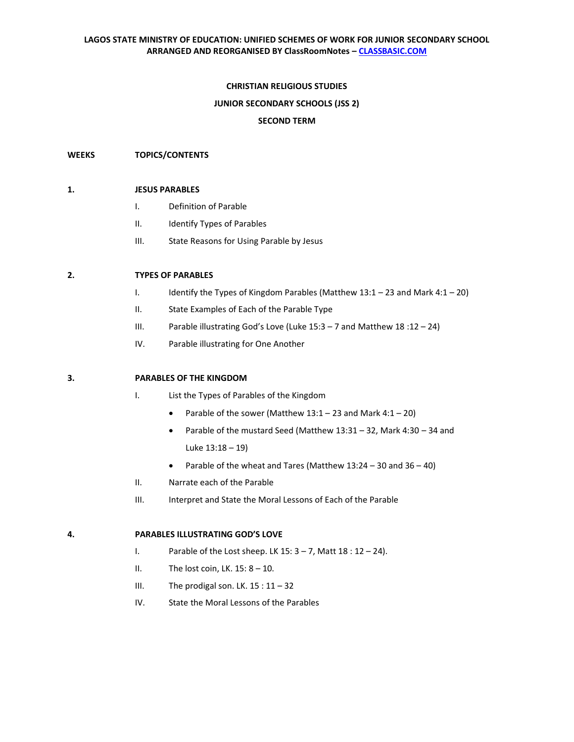## **CHRISTIAN RELIGIOUS STUDIES**

### **JUNIOR SECONDARY SCHOOLS (JSS 2)**

### **SECOND TERM**

### **WEEKS TOPICS/CONTENTS**

#### **1. JESUS PARABLES**

- I. Definition of Parable
- II. Identify Types of Parables
- III. State Reasons for Using Parable by Jesus

## **2. TYPES OF PARABLES**

- I. Identify the Types of Kingdom Parables (Matthew 13:1 23 and Mark 4:1 20)
- II. State Examples of Each of the Parable Type
- III. Parable illustrating God's Love (Luke 15:3 7 and Matthew 18 :12 24)
- IV. Parable illustrating for One Another

#### **3. PARABLES OF THE KINGDOM**

- I. List the Types of Parables of the Kingdom
	- Parable of the sower (Matthew  $13:1 23$  and Mark  $4:1 20$ )
	- Parable of the mustard Seed (Matthew 13:31 32, Mark 4:30 34 and Luke 13:18 – 19)
	- Parable of the wheat and Tares (Matthew 13:24 30 and 36 40)
- II. Narrate each of the Parable
- III. Interpret and State the Moral Lessons of Each of the Parable

#### **4. PARABLES ILLUSTRATING GOD'S LOVE**

- I. Parable of the Lost sheep. LK  $15:3 7$ , Matt  $18:12 24$ .
- II. The lost coin, LK.  $15: 8 10$ .
- III. The prodigal son. LK.  $15:11-32$
- IV. State the Moral Lessons of the Parables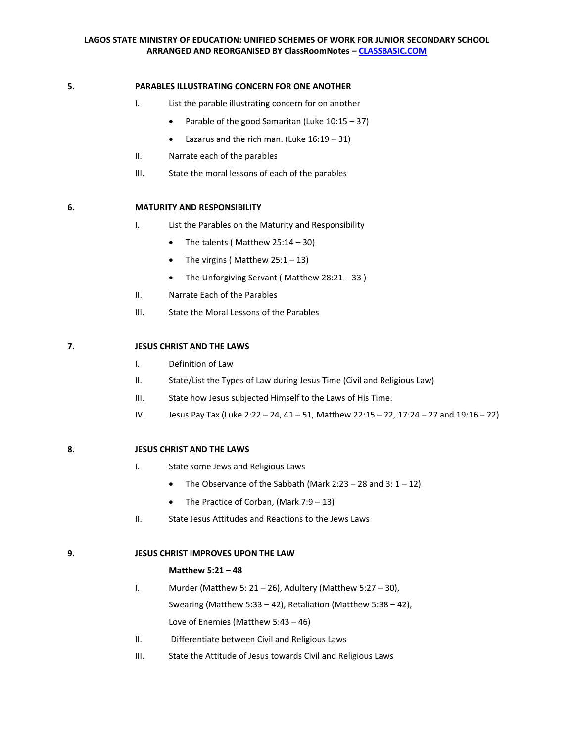## **5. PARABLES ILLUSTRATING CONCERN FOR ONE ANOTHER**

- I. List the parable illustrating concern for on another
	- Parable of the good Samaritan (Luke  $10:15 37$ )
	- Lazarus and the rich man. (Luke 16:19 31)
- II. Narrate each of the parables
- III. State the moral lessons of each of the parables

## **6. MATURITY AND RESPONSIBILITY**

- I. List the Parables on the Maturity and Responsibility
	- The talents (Matthew 25:14 30)
	- The virgins (Matthew  $25:1 13$ )
	- The Unforgiving Servant ( Matthew 28:21 33 )
- II. Narrate Each of the Parables
- III. State the Moral Lessons of the Parables

## **7. JESUS CHRIST AND THE LAWS**

- I. Definition of Law
- II. State/List the Types of Law during Jesus Time (Civil and Religious Law)
- III. State how Jesus subjected Himself to the Laws of His Time.
- IV. Jesus Pay Tax (Luke 2:22 24, 41 51, Matthew 22:15 22, 17:24 27 and 19:16 22)

## **8. JESUS CHRIST AND THE LAWS**

- I. State some Jews and Religious Laws
	- The Observance of the Sabbath (Mark 2:23 28 and 3:  $1 12$ )
	- The Practice of Corban, (Mark 7:9 13)
- II. State Jesus Attitudes and Reactions to the Jews Laws

## **9. JESUS CHRIST IMPROVES UPON THE LAW**

#### **Matthew 5:21 – 48**

- I. Murder (Matthew 5:  $21 26$ ), Adultery (Matthew 5:27 30), Swearing (Matthew 5:33 – 42), Retaliation (Matthew 5:38 – 42), Love of Enemies (Matthew 5:43 – 46)
- II. Differentiate between Civil and Religious Laws
- III. State the Attitude of Jesus towards Civil and Religious Laws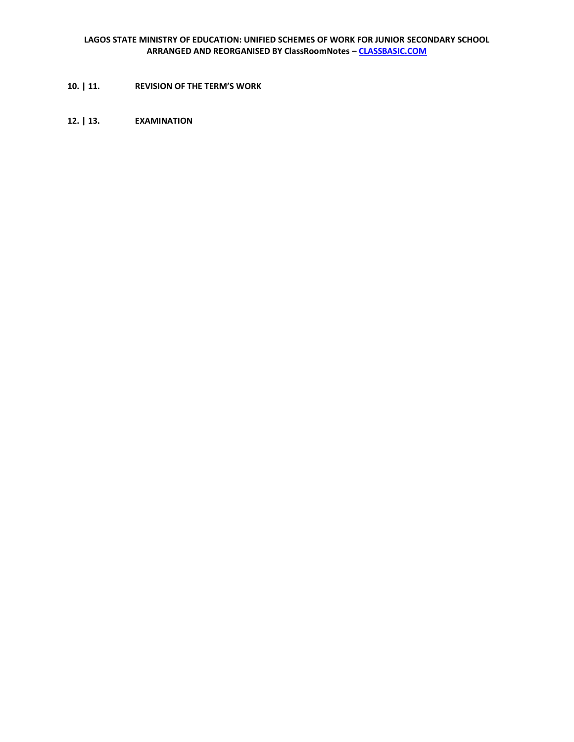- **10. | 11. REVISION OF THE TERM'S WORK**
- **12. | 13. EXAMINATION**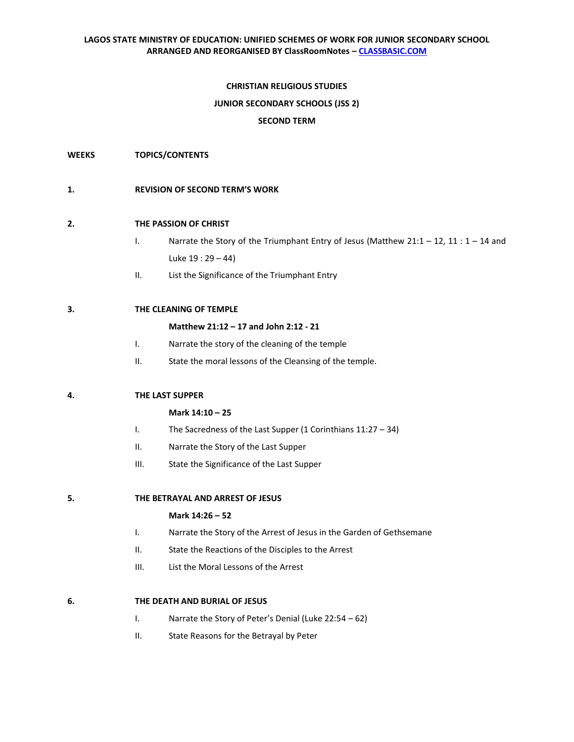## **CHRISTIAN RELIGIOUS STUDIES**

### **JUNIOR SECONDARY SCHOOLS (JSS 2)**

### **SECOND TERM**

**WEEKS TOPICS/CONTENTS**

### **1. REVISION OF SECOND TERM'S WORK**

## **2. THE PASSION OF CHRIST**

- I. Narrate the Story of the Triumphant Entry of Jesus (Matthew 21:1 12, 11 :  $1 14$  and Luke 19 : 29 – 44)
- II. List the Significance of the Triumphant Entry

## **3. THE CLEANING OF TEMPLE**

#### **Matthew 21:12 – 17 and John 2:12 - 21**

- I. Narrate the story of the cleaning of the temple
- II. State the moral lessons of the Cleansing of the temple.

#### **4. THE LAST SUPPER**

#### **Mark 14:10 – 25**

- I. The Sacredness of the Last Supper (1 Corinthians 11:27 34)
- II. Narrate the Story of the Last Supper
- III. State the Significance of the Last Supper

**5. THE BETRAYAL AND ARREST OF JESUS**

## **Mark 14:26 – 52**

- I. Narrate the Story of the Arrest of Jesus in the Garden of Gethsemane
- II. State the Reactions of the Disciples to the Arrest
- III. List the Moral Lessons of the Arrest

#### **6. THE DEATH AND BURIAL OF JESUS**

- I. Narrate the Story of Peter's Denial (Luke 22:54 62)
- II. State Reasons for the Betrayal by Peter